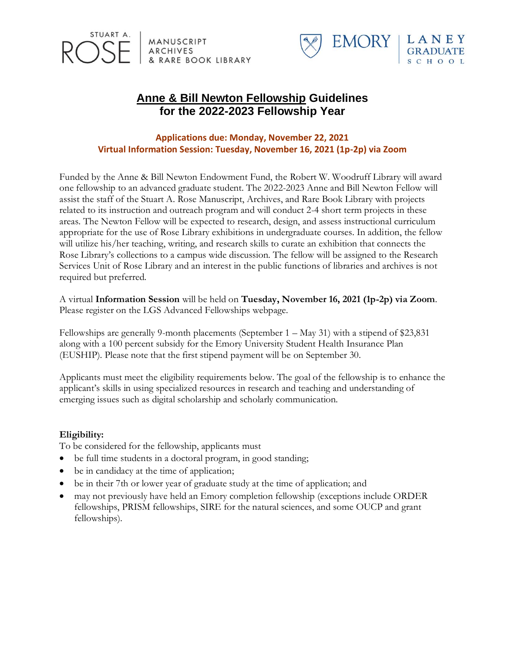



# **Anne & Bill Newton Fellowship Guidelines for the 2022-2023 Fellowship Year**

### **Applications due: Monday, November 22, 2021 Virtual Information Session: Tuesday, November 16, 2021 (1p-2p) via Zoom**

Funded by the Anne & Bill Newton Endowment Fund, the Robert W. Woodruff Library will award one fellowship to an advanced graduate student. The 2022-2023 Anne and Bill Newton Fellow will assist the staff of the Stuart A. Rose Manuscript, Archives, and Rare Book Library with projects related to its instruction and outreach program and will conduct 2-4 short term projects in these areas. The Newton Fellow will be expected to research, design, and assess instructional curriculum appropriate for the use of Rose Library exhibitions in undergraduate courses. In addition, the fellow will utilize his/her teaching, writing, and research skills to curate an exhibition that connects the Rose Library's collections to a campus wide discussion. The fellow will be assigned to the Research Services Unit of Rose Library and an interest in the public functions of libraries and archives is not required but preferred.

A virtual **Information Session** will be held on **Tuesday, November 16, 2021 (1p-2p) via Zoom**. Please register on the LGS Advanced Fellowships webpage.

Fellowships are generally 9-month placements (September 1 – May 31) with a stipend of \$23,831 along with a 100 percent subsidy for the Emory University Student Health Insurance Plan (EUSHIP). Please note that the first stipend payment will be on September 30.

Applicants must meet the eligibility requirements below. The goal of the fellowship is to enhance the applicant's skills in using specialized resources in research and teaching and understanding of emerging issues such as digital scholarship and scholarly communication.

#### **Eligibility:**

To be considered for the fellowship, applicants must

- be full time students in a doctoral program, in good standing;
- be in candidacy at the time of application;
- be in their 7th or lower year of graduate study at the time of application; and
- may not previously have held an Emory completion fellowship (exceptions include ORDER fellowships, PRISM fellowships, SIRE for the natural sciences, and some OUCP and grant fellowships).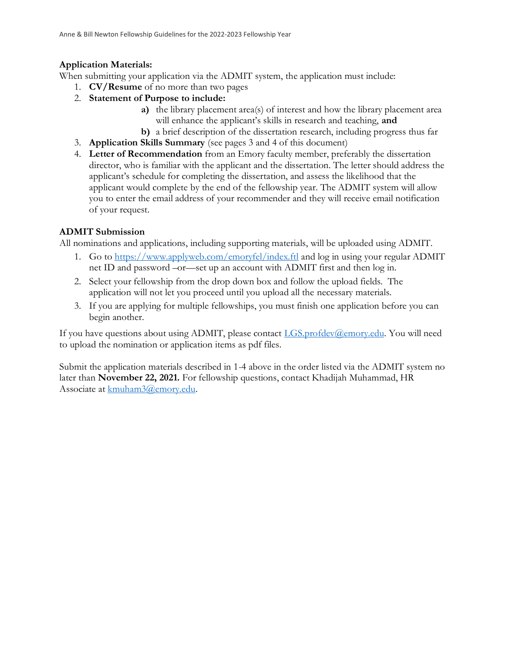### **Application Materials:**

When submitting your application via the ADMIT system, the application must include:

- 1. **CV/Resume** of no more than two pages
- 2. **Statement of Purpose to include:** 
	- **a)** the library placement area(s) of interest and how the library placement area will enhance the applicant's skills in research and teaching, **and**
	- **b)** a brief description of the dissertation research, including progress thus far
- 3. **Application Skills Summary** (see pages 3 and 4 of this document)
- 4. **Letter of Recommendation** from an Emory faculty member, preferably the dissertation director, who is familiar with the applicant and the dissertation. The letter should address the applicant's schedule for completing the dissertation, and assess the likelihood that the applicant would complete by the end of the fellowship year. The ADMIT system will allow you to enter the email address of your recommender and they will receive email notification of your request.

### **ADMIT Submission**

All nominations and applications, including supporting materials, will be uploaded using ADMIT.

- 1. Go to <https://www.applyweb.com/emoryfel/index.ftl> and log in using your regular ADMIT net ID and password –or—set up an account with ADMIT first and then log in.
- 2. Select your fellowship from the drop down box and follow the upload fields. The application will not let you proceed until you upload all the necessary materials.
- 3. If you are applying for multiple fellowships, you must finish one application before you can begin another.

If you have questions about using ADMIT, please contact [LGS.profdev@emory.edu.](mailto:LGS.profdev@emory.edu) You will need to upload the nomination or application items as pdf files.

Submit the application materials described in 1-4 above in the order listed via the ADMIT system no later than **November 22, 2021.** For fellowship questions, contact Khadijah Muhammad, HR Associate at [kmuham3@emory.edu.](mailto:kmuham3@emory.edu)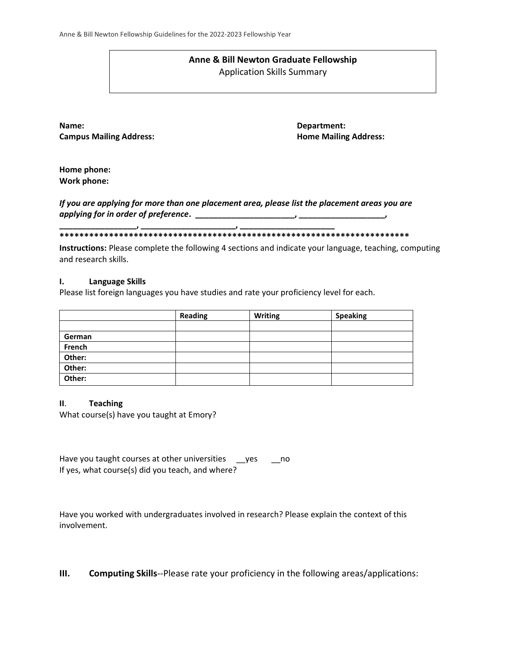#### **Anne & Bill Newton Graduate Fellowship** Application Skills Summary

**Name: Department: Campus Mailing Address: Home Mailing Address: Home Mailing Address:** 

**Home phone: Work phone:**

*If you are applying for more than one placement area, please list the placement areas you are applying for in order of preference***. \_\_\_\_\_\_\_\_\_\_\_\_\_\_\_\_\_\_\_\_\_\_, \_\_\_\_\_\_\_\_\_\_\_\_\_\_\_\_\_\_\_,** 

**\_\_\_\_\_\_\_\_\_\_\_\_\_\_\_\_\_, \_\_\_\_\_\_\_\_\_\_\_\_\_\_\_\_\_\_\_\_\_, \_\_\_\_\_\_\_\_\_\_\_\_\_\_\_\_\_\_\_\_\_ \*\*\*\*\*\*\*\*\*\*\*\*\*\*\*\*\*\*\*\*\*\*\*\*\*\*\*\*\*\*\*\*\*\*\*\*\*\*\*\*\*\*\*\*\*\*\*\*\*\*\*\*\*\*\*\*\*\*\*\*\*\*\*\*\*\*\*\*\*\*\***

**Instructions:** Please complete the following 4 sections and indicate your language, teaching, computing and research skills.

#### **I. Language Skills**

Please list foreign languages you have studies and rate your proficiency level for each.

|        | <b>Reading</b> | <b>Writing</b> | <b>Speaking</b> |
|--------|----------------|----------------|-----------------|
|        |                |                |                 |
| German |                |                |                 |
| French |                |                |                 |
| Other: |                |                |                 |
| Other: |                |                |                 |
| Other: |                |                |                 |

#### **II**. **Teaching**

What course(s) have you taught at Emory?

| Have you taught courses at other universities    | ves | no no |
|--------------------------------------------------|-----|-------|
| If yes, what course(s) did you teach, and where? |     |       |

Have you worked with undergraduates involved in research? Please explain the context of this involvement.

**III. Computing Skills**--Please rate your proficiency in the following areas/applications: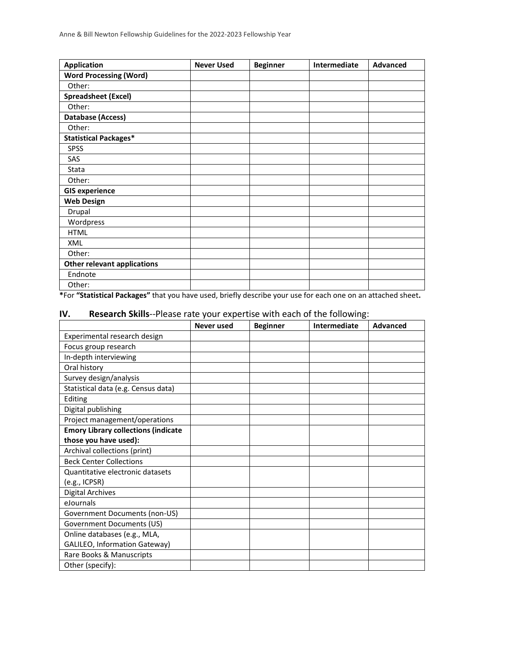| <b>Application</b>                 | <b>Never Used</b> | <b>Beginner</b> | Intermediate | <b>Advanced</b> |
|------------------------------------|-------------------|-----------------|--------------|-----------------|
| <b>Word Processing (Word)</b>      |                   |                 |              |                 |
| Other:                             |                   |                 |              |                 |
| <b>Spreadsheet (Excel)</b>         |                   |                 |              |                 |
| Other:                             |                   |                 |              |                 |
| Database (Access)                  |                   |                 |              |                 |
| Other:                             |                   |                 |              |                 |
| <b>Statistical Packages*</b>       |                   |                 |              |                 |
| <b>SPSS</b>                        |                   |                 |              |                 |
| SAS                                |                   |                 |              |                 |
| Stata                              |                   |                 |              |                 |
| Other:                             |                   |                 |              |                 |
| <b>GIS experience</b>              |                   |                 |              |                 |
| <b>Web Design</b>                  |                   |                 |              |                 |
| Drupal                             |                   |                 |              |                 |
| Wordpress                          |                   |                 |              |                 |
| <b>HTML</b>                        |                   |                 |              |                 |
| XML                                |                   |                 |              |                 |
| Other:                             |                   |                 |              |                 |
| <b>Other relevant applications</b> |                   |                 |              |                 |
| Endnote                            |                   |                 |              |                 |
| Other:                             |                   |                 |              |                 |

**\***For **"Statistical Packages"** that you have used, briefly describe your use for each one on an attached sheet**.**

## **IV. Research Skills**--Please rate your expertise with each of the following:

|                                            | Never used | <b>Beginner</b> | Intermediate | <b>Advanced</b> |
|--------------------------------------------|------------|-----------------|--------------|-----------------|
| Experimental research design               |            |                 |              |                 |
| Focus group research                       |            |                 |              |                 |
| In-depth interviewing                      |            |                 |              |                 |
| Oral history                               |            |                 |              |                 |
| Survey design/analysis                     |            |                 |              |                 |
| Statistical data (e.g. Census data)        |            |                 |              |                 |
| Editing                                    |            |                 |              |                 |
| Digital publishing                         |            |                 |              |                 |
| Project management/operations              |            |                 |              |                 |
| <b>Emory Library collections (indicate</b> |            |                 |              |                 |
| those you have used):                      |            |                 |              |                 |
| Archival collections (print)               |            |                 |              |                 |
| <b>Beck Center Collections</b>             |            |                 |              |                 |
| Quantitative electronic datasets           |            |                 |              |                 |
| (e.g., ICPSR)                              |            |                 |              |                 |
| <b>Digital Archives</b>                    |            |                 |              |                 |
| eJournals                                  |            |                 |              |                 |
| Government Documents (non-US)              |            |                 |              |                 |
| Government Documents (US)                  |            |                 |              |                 |
| Online databases (e.g., MLA,               |            |                 |              |                 |
| GALILEO, Information Gateway)              |            |                 |              |                 |
| Rare Books & Manuscripts                   |            |                 |              |                 |
| Other (specify):                           |            |                 |              |                 |